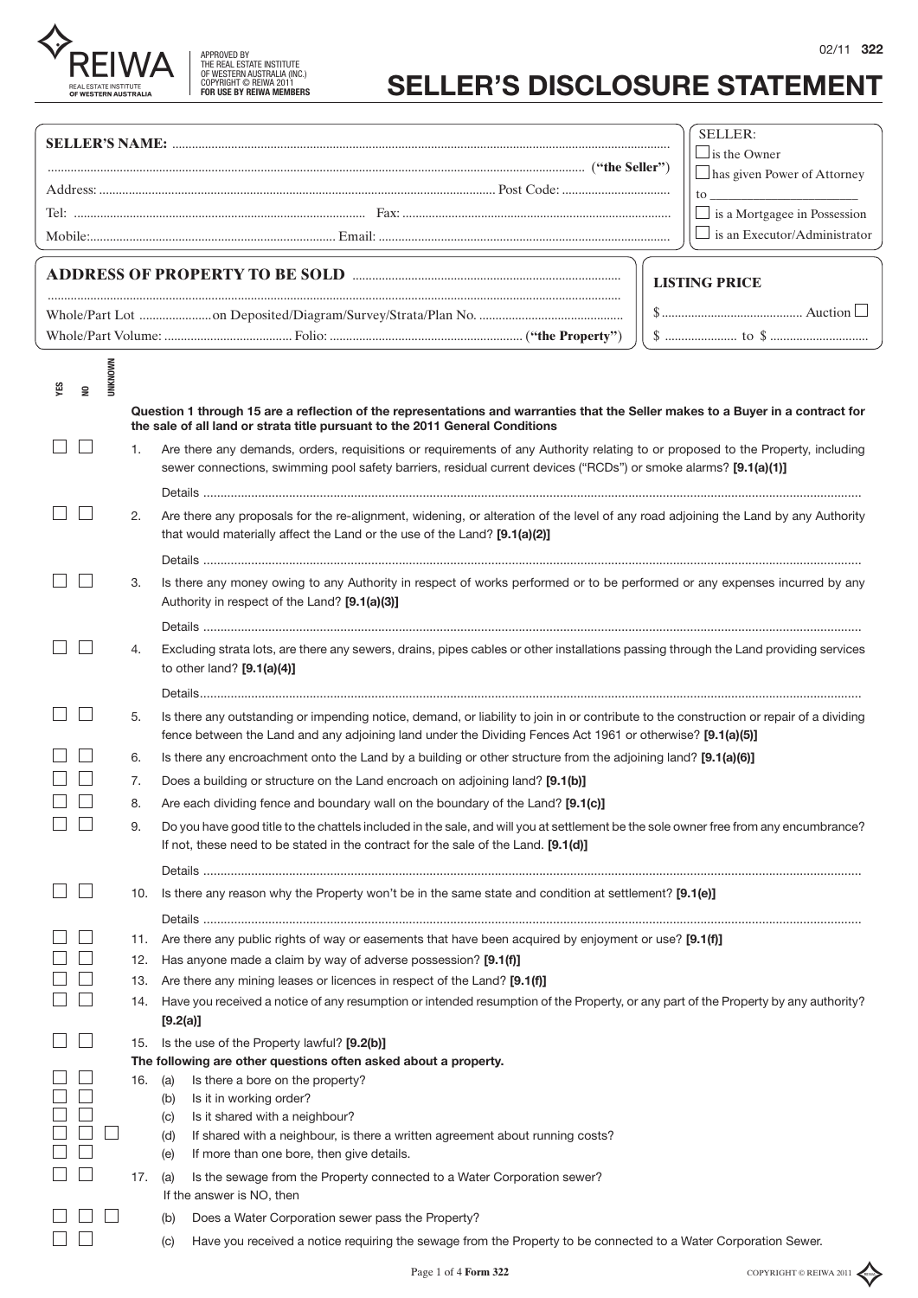| 02/1 | 122 |
|------|-----|
|------|-----|

| <b>APPROVED BY</b>              |
|---------------------------------|
| THE REAL ESTATE INSTITUTE       |
| OF WESTERN AUSTRALIA (INC.)     |
| COPYRIGHT © REIWA 2011          |
| <b>FOR USE BY REIWA MEMBERS</b> |
|                                 |

**REIWA** REAL ESTATE INSTITUTE<br>**OF WESTERN AUSTRALIA** 

## **SELLER'S DISCLOSURE STATEMENT**

|                                               |     |                                                                                                                                                                                                                                                       |  | SELLER:                                            |
|-----------------------------------------------|-----|-------------------------------------------------------------------------------------------------------------------------------------------------------------------------------------------------------------------------------------------------------|--|----------------------------------------------------|
|                                               |     |                                                                                                                                                                                                                                                       |  | $\Box$ is the Owner<br>has given Power of Attorney |
|                                               |     |                                                                                                                                                                                                                                                       |  |                                                    |
|                                               |     |                                                                                                                                                                                                                                                       |  | $\Box$ is a Mortgagee in Possession                |
|                                               |     |                                                                                                                                                                                                                                                       |  | $\Box$ is an Executor/Administrator                |
|                                               |     |                                                                                                                                                                                                                                                       |  |                                                    |
|                                               |     |                                                                                                                                                                                                                                                       |  | <b>LISTING PRICE</b>                               |
|                                               |     |                                                                                                                                                                                                                                                       |  |                                                    |
|                                               |     |                                                                                                                                                                                                                                                       |  |                                                    |
|                                               |     |                                                                                                                                                                                                                                                       |  |                                                    |
| <b>UNKNOWN</b>                                |     |                                                                                                                                                                                                                                                       |  |                                                    |
| χã<br>$\mathrel{\mathop{\unbox{g}}\nolimits}$ |     | Question 1 through 15 are a reflection of the representations and warranties that the Seller makes to a Buyer in a contract for<br>the sale of all land or strata title pursuant to the 2011 General Conditions                                       |  |                                                    |
|                                               | 1.  | Are there any demands, orders, requisitions or requirements of any Authority relating to or proposed to the Property, including                                                                                                                       |  |                                                    |
|                                               |     | sewer connections, swimming pool safety barriers, residual current devices ("RCDs") or smoke alarms? [9.1(a)(1)]                                                                                                                                      |  |                                                    |
|                                               |     |                                                                                                                                                                                                                                                       |  |                                                    |
|                                               | 2.  | Are there any proposals for the re-alignment, widening, or alteration of the level of any road adjoining the Land by any Authority<br>that would materially affect the Land or the use of the Land? [9.1(a)(2)]                                       |  |                                                    |
|                                               |     |                                                                                                                                                                                                                                                       |  |                                                    |
|                                               | 3.  | Is there any money owing to any Authority in respect of works performed or to be performed or any expenses incurred by any<br>Authority in respect of the Land? [9.1(a)(3)]                                                                           |  |                                                    |
|                                               |     |                                                                                                                                                                                                                                                       |  |                                                    |
|                                               | 4.  | Excluding strata lots, are there any sewers, drains, pipes cables or other installations passing through the Land providing services<br>to other land? $[9.1(a)(4)]$                                                                                  |  |                                                    |
|                                               |     |                                                                                                                                                                                                                                                       |  |                                                    |
|                                               | 5.  | Is there any outstanding or impending notice, demand, or liability to join in or contribute to the construction or repair of a dividing<br>fence between the Land and any adjoining land under the Dividing Fences Act 1961 or otherwise? [9.1(a)(5)] |  |                                                    |
|                                               | 6.  | Is there any encroachment onto the Land by a building or other structure from the adjoining land? [9.1(a)(6)]                                                                                                                                         |  |                                                    |
|                                               | 7.  | Does a building or structure on the Land encroach on adjoining land? [9.1(b)]                                                                                                                                                                         |  |                                                    |
|                                               | 8.  | Are each dividing fence and boundary wall on the boundary of the Land? [9.1(c)]                                                                                                                                                                       |  |                                                    |
|                                               | 9.  | Do you have good title to the chattels included in the sale, and will you at settlement be the sole owner free from any encumbrance?<br>If not, these need to be stated in the contract for the sale of the Land. [9.1(d)]                            |  |                                                    |
|                                               |     |                                                                                                                                                                                                                                                       |  |                                                    |
|                                               |     | 10. Is there any reason why the Property won't be in the same state and condition at settlement? [9.1(e)]                                                                                                                                             |  |                                                    |
|                                               |     |                                                                                                                                                                                                                                                       |  |                                                    |
|                                               | 11. | Are there any public rights of way or easements that have been acquired by enjoyment or use? [9.1(f)]                                                                                                                                                 |  |                                                    |
|                                               | 12. | Has anyone made a claim by way of adverse possession? [9.1(f)]                                                                                                                                                                                        |  |                                                    |
|                                               | 13. | Are there any mining leases or licences in respect of the Land? [9.1(f)]                                                                                                                                                                              |  |                                                    |
|                                               | 14. | Have you received a notice of any resumption or intended resumption of the Property, or any part of the Property by any authority?<br>[9.2(a)]                                                                                                        |  |                                                    |
|                                               |     | 15. Is the use of the Property lawful? [9.2(b)]                                                                                                                                                                                                       |  |                                                    |
|                                               |     | The following are other questions often asked about a property.                                                                                                                                                                                       |  |                                                    |
|                                               |     | Is there a bore on the property?<br>16. (a)<br>Is it in working order?<br>(b)                                                                                                                                                                         |  |                                                    |
|                                               |     | Is it shared with a neighbour?<br>(c)                                                                                                                                                                                                                 |  |                                                    |
|                                               |     | If shared with a neighbour, is there a written agreement about running costs?<br>(d)                                                                                                                                                                  |  |                                                    |
|                                               |     | If more than one bore, then give details.<br>(e)                                                                                                                                                                                                      |  |                                                    |
|                                               | 17. | Is the sewage from the Property connected to a Water Corporation sewer?<br>(a)<br>If the answer is NO, then                                                                                                                                           |  |                                                    |
|                                               |     | Does a Water Corporation sewer pass the Property?<br>(b)                                                                                                                                                                                              |  |                                                    |
|                                               |     | Have you received a notice requiring the sewage from the Property to be connected to a Water Corporation Sewer.<br>(C)                                                                                                                                |  |                                                    |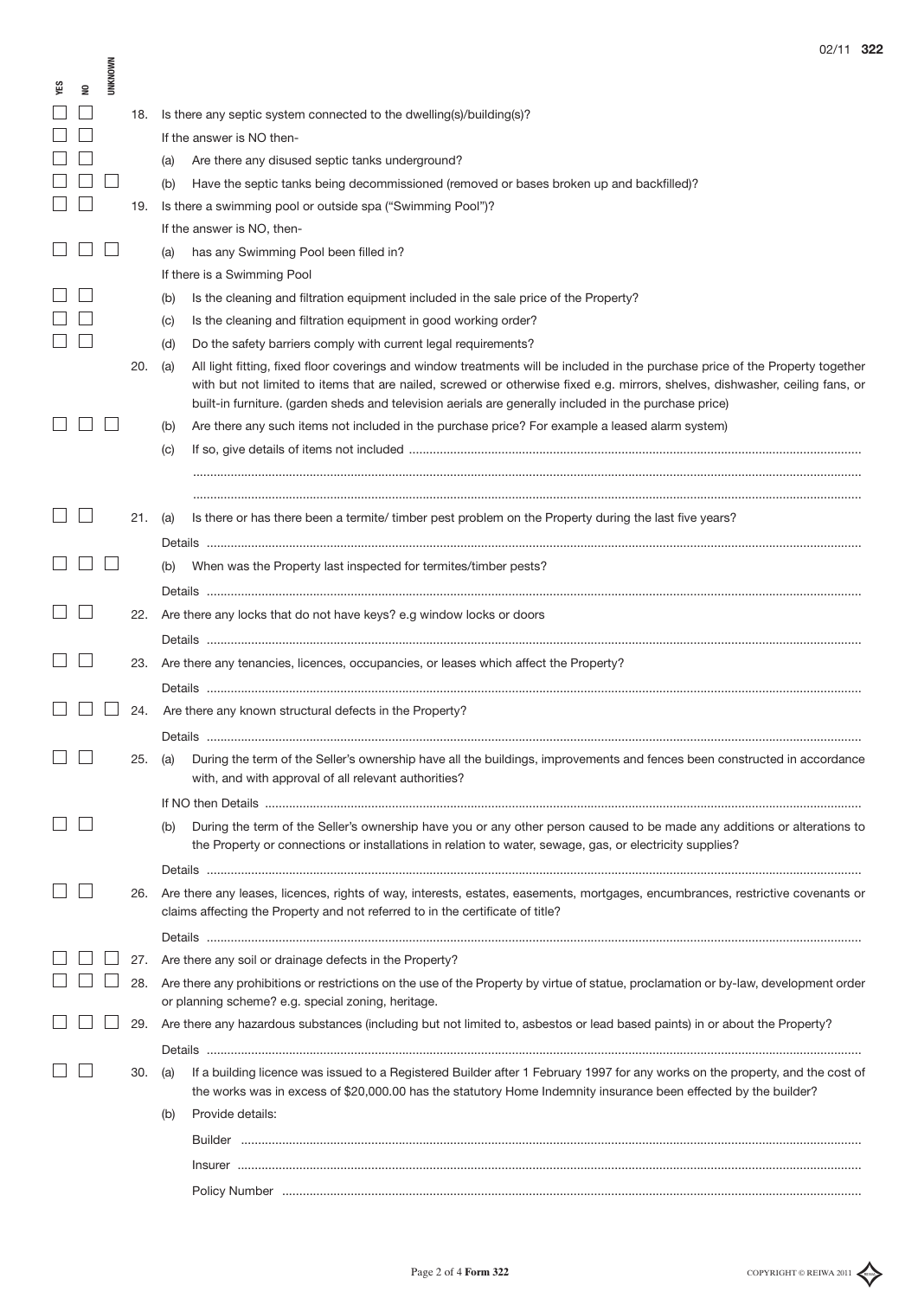|   |                |     | UZ/ 1 1<br>دت                                                                                                                                                                                                                                                                                                                                                                    |
|---|----------------|-----|----------------------------------------------------------------------------------------------------------------------------------------------------------------------------------------------------------------------------------------------------------------------------------------------------------------------------------------------------------------------------------|
| g | <b>UNKNOWN</b> |     |                                                                                                                                                                                                                                                                                                                                                                                  |
|   |                | 18. | Is there any septic system connected to the dwelling(s)/building(s)?                                                                                                                                                                                                                                                                                                             |
|   |                |     | If the answer is NO then-                                                                                                                                                                                                                                                                                                                                                        |
|   |                |     | Are there any disused septic tanks underground?<br>(a)                                                                                                                                                                                                                                                                                                                           |
|   |                |     | Have the septic tanks being decommissioned (removed or bases broken up and backfilled)?<br>(b)                                                                                                                                                                                                                                                                                   |
|   |                | 19. | Is there a swimming pool or outside spa ("Swimming Pool")?                                                                                                                                                                                                                                                                                                                       |
|   |                |     | If the answer is NO, then-                                                                                                                                                                                                                                                                                                                                                       |
|   |                |     | has any Swimming Pool been filled in?<br>(a)                                                                                                                                                                                                                                                                                                                                     |
|   |                |     | If there is a Swimming Pool                                                                                                                                                                                                                                                                                                                                                      |
|   |                |     | Is the cleaning and filtration equipment included in the sale price of the Property?<br>(b)                                                                                                                                                                                                                                                                                      |
|   |                |     | Is the cleaning and filtration equipment in good working order?<br>(C)                                                                                                                                                                                                                                                                                                           |
|   |                |     | Do the safety barriers comply with current legal requirements?<br>(d)                                                                                                                                                                                                                                                                                                            |
|   |                | 20. | (a)<br>All light fitting, fixed floor coverings and window treatments will be included in the purchase price of the Property together<br>with but not limited to items that are nailed, screwed or otherwise fixed e.g. mirrors, shelves, dishwasher, ceiling fans, or<br>built-in furniture. (garden sheds and television aerials are generally included in the purchase price) |
|   |                |     | Are there any such items not included in the purchase price? For example a leased alarm system)<br>(b)                                                                                                                                                                                                                                                                           |
|   |                |     | (C)                                                                                                                                                                                                                                                                                                                                                                              |
|   |                |     |                                                                                                                                                                                                                                                                                                                                                                                  |
|   |                |     |                                                                                                                                                                                                                                                                                                                                                                                  |
|   |                | 21. | Is there or has there been a termite/ timber pest problem on the Property during the last five years?<br>(a)                                                                                                                                                                                                                                                                     |
|   |                |     |                                                                                                                                                                                                                                                                                                                                                                                  |
|   |                |     | When was the Property last inspected for termites/timber pests?<br>(b)                                                                                                                                                                                                                                                                                                           |
|   |                |     |                                                                                                                                                                                                                                                                                                                                                                                  |
|   |                | 22. | Are there any locks that do not have keys? e.g window locks or doors                                                                                                                                                                                                                                                                                                             |
|   |                |     |                                                                                                                                                                                                                                                                                                                                                                                  |
|   |                |     | 23. Are there any tenancies, licences, occupancies, or leases which affect the Property?                                                                                                                                                                                                                                                                                         |
|   |                |     |                                                                                                                                                                                                                                                                                                                                                                                  |
|   |                | 24. | Are there any known structural defects in the Property?                                                                                                                                                                                                                                                                                                                          |
|   |                |     |                                                                                                                                                                                                                                                                                                                                                                                  |
|   |                | 25. | During the term of the Seller's ownership have all the buildings, improvements and fences been constructed in accordance<br>(a)<br>with, and with approval of all relevant authorities?                                                                                                                                                                                          |
|   |                |     |                                                                                                                                                                                                                                                                                                                                                                                  |
|   |                |     | During the term of the Seller's ownership have you or any other person caused to be made any additions or alterations to<br>(b)<br>the Property or connections or installations in relation to water, sewage, gas, or electricity supplies?                                                                                                                                      |
|   |                |     |                                                                                                                                                                                                                                                                                                                                                                                  |
|   |                | 26. | Are there any leases, licences, rights of way, interests, estates, easements, mortgages, encumbrances, restrictive covenants or<br>claims affecting the Property and not referred to in the certificate of title?                                                                                                                                                                |
|   |                |     |                                                                                                                                                                                                                                                                                                                                                                                  |
|   |                | 27. | Are there any soil or drainage defects in the Property?                                                                                                                                                                                                                                                                                                                          |
|   |                | 28. | Are there any prohibitions or restrictions on the use of the Property by virtue of statue, proclamation or by-law, development order<br>or planning scheme? e.g. special zoning, heritage.                                                                                                                                                                                       |
|   |                |     | 29. Are there any hazardous substances (including but not limited to, asbestos or lead based paints) in or about the Property?                                                                                                                                                                                                                                                   |
|   |                |     |                                                                                                                                                                                                                                                                                                                                                                                  |
|   |                | 30. | If a building licence was issued to a Registered Builder after 1 February 1997 for any works on the property, and the cost of<br>(a)<br>the works was in excess of \$20,000.00 has the statutory Home Indemnity insurance been effected by the builder?                                                                                                                          |
|   |                |     | Provide details:<br>(b)                                                                                                                                                                                                                                                                                                                                                          |
|   |                |     |                                                                                                                                                                                                                                                                                                                                                                                  |
|   |                |     |                                                                                                                                                                                                                                                                                                                                                                                  |
|   |                |     |                                                                                                                                                                                                                                                                                                                                                                                  |
|   |                |     |                                                                                                                                                                                                                                                                                                                                                                                  |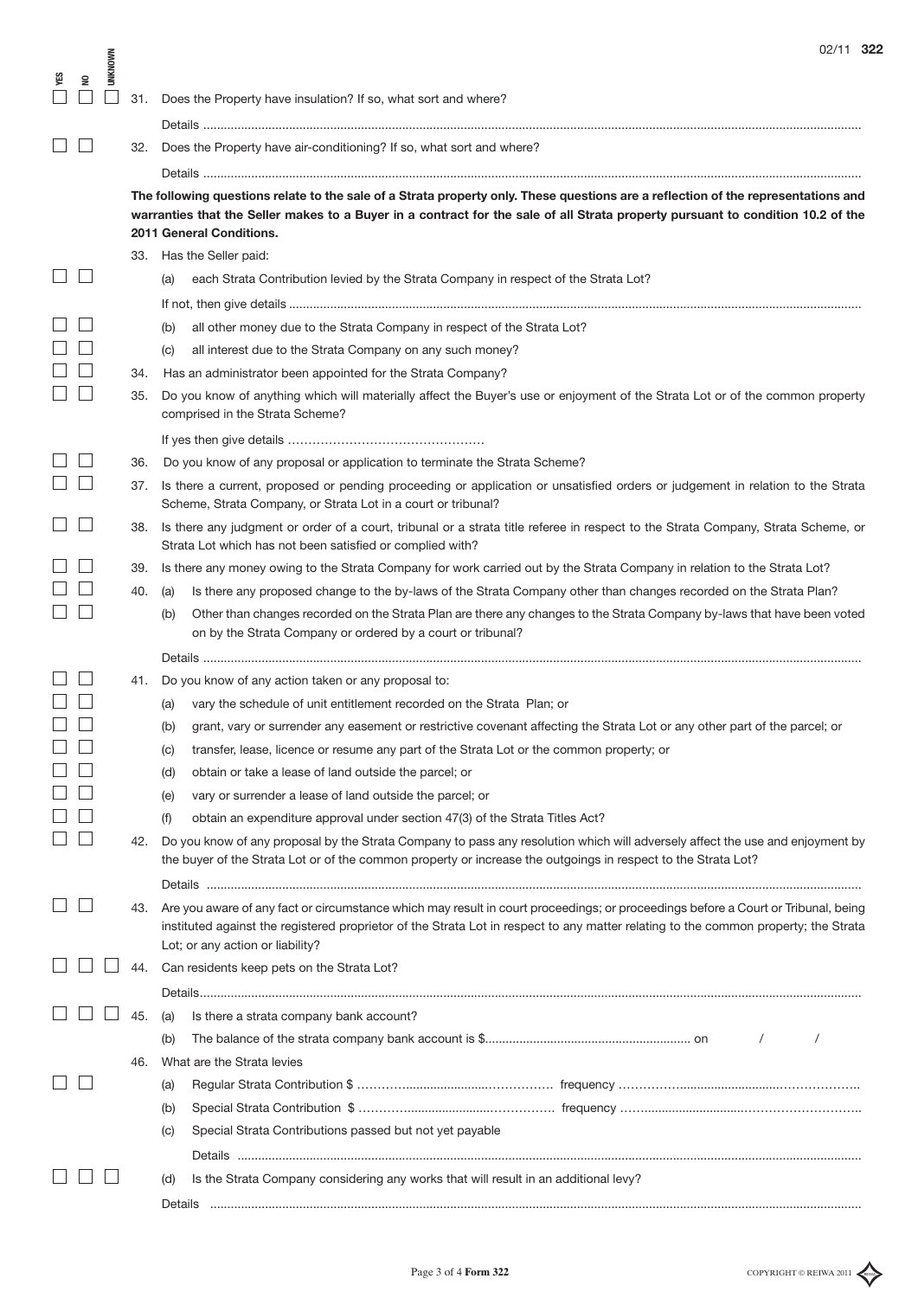|                                                     |                |     | 02/11 322                                                                                                                           |
|-----------------------------------------------------|----------------|-----|-------------------------------------------------------------------------------------------------------------------------------------|
| cg<br>2<br>$\mathrel{\mathop{\mathsf{g}}\nolimits}$ | <b>UNKNOWN</b> |     |                                                                                                                                     |
|                                                     |                | 31. | Does the Property have insulation? If so, what sort and where?                                                                      |
|                                                     |                |     |                                                                                                                                     |
|                                                     |                | 32. | Does the Property have air-conditioning? If so, what sort and where?                                                                |
|                                                     |                |     |                                                                                                                                     |
|                                                     |                |     | The following questions relate to the sale of a Strata property only. These questions are a reflection of the representations and   |
|                                                     |                |     | warranties that the Seller makes to a Buyer in a contract for the sale of all Strata property pursuant to condition 10.2 of the     |
|                                                     |                |     | 2011 General Conditions.                                                                                                            |
|                                                     |                |     | 33. Has the Seller paid:                                                                                                            |
|                                                     |                |     | each Strata Contribution levied by the Strata Company in respect of the Strata Lot?<br>(a)                                          |
|                                                     |                |     |                                                                                                                                     |
|                                                     |                |     | all other money due to the Strata Company in respect of the Strata Lot?<br>(b)                                                      |
|                                                     |                |     | all interest due to the Strata Company on any such money?<br>(c)                                                                    |
|                                                     |                | 34. | Has an administrator been appointed for the Strata Company?                                                                         |
|                                                     |                | 35. | Do you know of anything which will materially affect the Buyer's use or enjoyment of the Strata Lot or of the common property       |
|                                                     |                |     | comprised in the Strata Scheme?                                                                                                     |
|                                                     |                |     |                                                                                                                                     |
|                                                     |                | 36. | Do you know of any proposal or application to terminate the Strata Scheme?                                                          |
|                                                     |                | 37. | Is there a current, proposed or pending proceeding or application or unsatisfied orders or judgement in relation to the Strata      |
|                                                     |                |     | Scheme, Strata Company, or Strata Lot in a court or tribunal?                                                                       |
|                                                     |                | 38. | Is there any judgment or order of a court, tribunal or a strata title referee in respect to the Strata Company, Strata Scheme, or   |
|                                                     |                |     | Strata Lot which has not been satisfied or complied with?                                                                           |
|                                                     |                | 39. | Is there any money owing to the Strata Company for work carried out by the Strata Company in relation to the Strata Lot?            |
|                                                     |                | 40. | Is there any proposed change to the by-laws of the Strata Company other than changes recorded on the Strata Plan?<br>(a)            |
|                                                     |                |     | Other than changes recorded on the Strata Plan are there any changes to the Strata Company by-laws that have been voted<br>(b)      |
|                                                     |                |     | on by the Strata Company or ordered by a court or tribunal?                                                                         |
|                                                     |                |     |                                                                                                                                     |
|                                                     |                |     | 41. Do you know of any action taken or any proposal to:                                                                             |
|                                                     |                |     | vary the schedule of unit entitlement recorded on the Strata Plan; or<br>(a)                                                        |
|                                                     |                |     | grant, vary or surrender any easement or restrictive covenant affecting the Strata Lot or any other part of the parcel; or<br>(b)   |
|                                                     |                |     | transfer, lease, licence or resume any part of the Strata Lot or the common property; or<br>(C)                                     |
|                                                     |                |     | obtain or take a lease of land outside the parcel; or<br>(d)                                                                        |
|                                                     |                |     | vary or surrender a lease of land outside the parcel; or<br>(e)                                                                     |
|                                                     |                |     | obtain an expenditure approval under section 47(3) of the Strata Titles Act?<br>(f)                                                 |
|                                                     |                | 42. | Do you know of any proposal by the Strata Company to pass any resolution which will adversely affect the use and enjoyment by       |
|                                                     |                |     | the buyer of the Strata Lot or of the common property or increase the outgoings in respect to the Strata Lot?                       |
|                                                     |                |     |                                                                                                                                     |
|                                                     |                | 43. | Are you aware of any fact or circumstance which may result in court proceedings; or proceedings before a Court or Tribunal, being   |
|                                                     |                |     | instituted against the registered proprietor of the Strata Lot in respect to any matter relating to the common property; the Strata |
|                                                     |                |     | Lot; or any action or liability?                                                                                                    |
|                                                     |                | 44. | Can residents keep pets on the Strata Lot?                                                                                          |
|                                                     |                |     |                                                                                                                                     |
|                                                     |                | 45. | (a)<br>Is there a strata company bank account?                                                                                      |
|                                                     |                |     | (b)                                                                                                                                 |
|                                                     |                | 46. | What are the Strata levies                                                                                                          |
|                                                     |                |     | (a)                                                                                                                                 |
|                                                     |                |     | (b)                                                                                                                                 |
|                                                     |                |     | Special Strata Contributions passed but not yet payable<br>(C)                                                                      |
|                                                     |                |     |                                                                                                                                     |
|                                                     |                |     | Is the Strata Company considering any works that will result in an additional levy?<br>(d)                                          |
|                                                     |                |     |                                                                                                                                     |